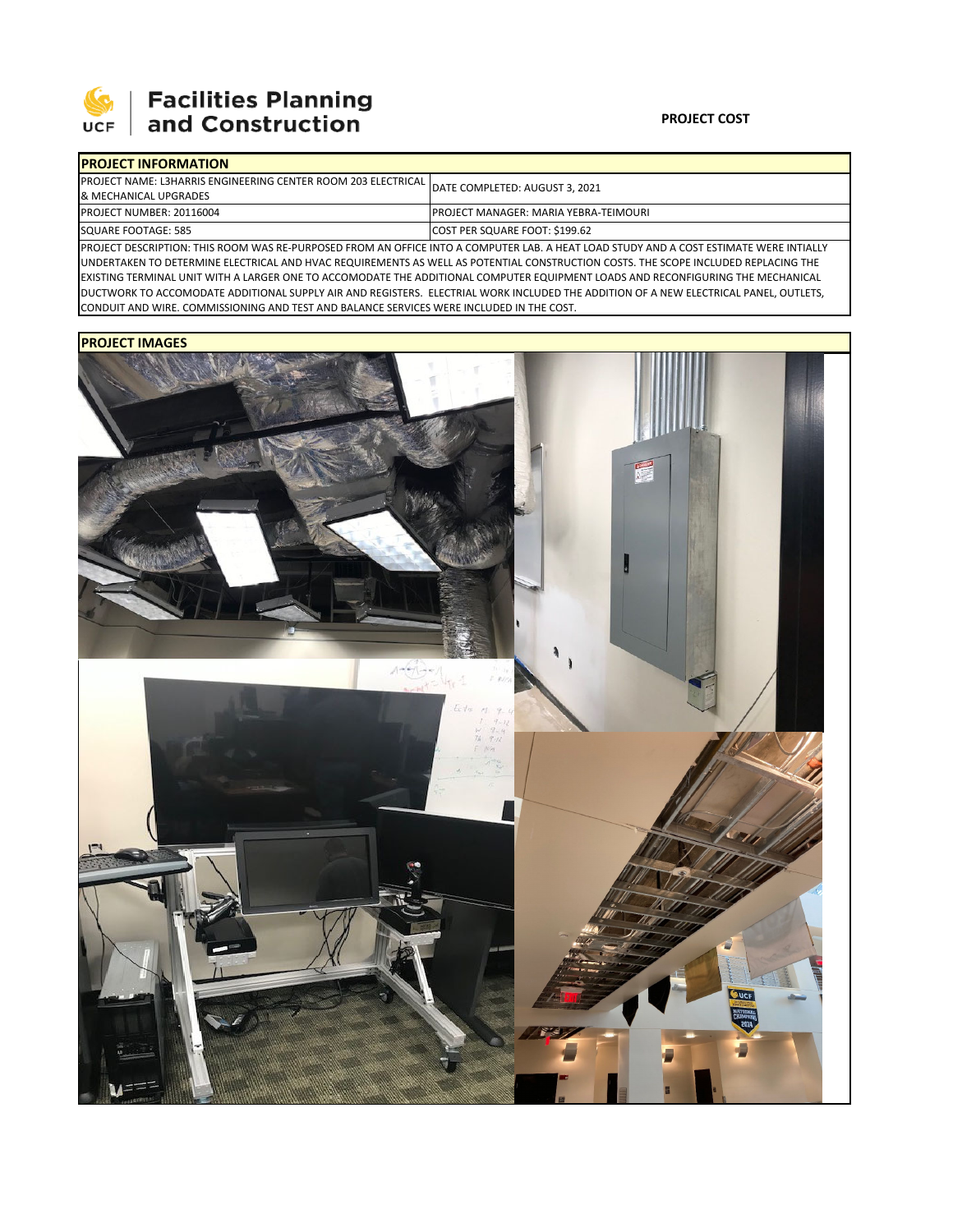

# **Facilities Planning<br>and Construction**

### **PROJECT COST**

| <b>IPROJECT INFORMATION</b>                                             |                                                                                                                                        |  |  |  |
|-------------------------------------------------------------------------|----------------------------------------------------------------------------------------------------------------------------------------|--|--|--|
| <b>IPROJECT NAME: L3HARRIS ENGINEERING CENTER ROOM 203 ELECTRICAL I</b> | DATE COMPLETED: AUGUST 3, 2021                                                                                                         |  |  |  |
| & MECHANICAL UPGRADES                                                   |                                                                                                                                        |  |  |  |
| PROJECT NUMBER: 20116004                                                | <b>IPROJECT MANAGER: MARIA YEBRA-TEIMOURI</b>                                                                                          |  |  |  |
| SQUARE FOOTAGE: 585                                                     | COST PER SQUARE FOOT: \$199.62                                                                                                         |  |  |  |
|                                                                         | IDROIFCT DESCRIPTION: THIS ROOM WAS RE-RURROSED EROM AN OFFICE INTO A COMPUTER LAR A HEAT LOAD STUDY AND A COST ESTIMATE WERE INTIALLY |  |  |  |

PROJECT DESCRIPTION: THIS ROOM WAS RE‐PURPOSED FROM AN OFFICE INTO A COMPUTER LAB. A HEAT LOAD STUDY AND A COST ESTIMATE WERE INTIALLY UNDERTAKEN TO DETERMINE ELECTRICAL AND HVAC REQUIREMENTS AS WELL AS POTENTIAL CONSTRUCTION COSTS. THE SCOPE INCLUDED REPLACING THE EXISTING TERMINAL UNIT WITH A LARGER ONE TO ACCOMODATE THE ADDITIONAL COMPUTER EQUIPMENT LOADS AND RECONFIGURING THE MECHANICAL DUCTWORK TO ACCOMODATE ADDITIONAL SUPPLY AIR AND REGISTERS. ELECTRIAL WORK INCLUDED THE ADDITION OF A NEW ELECTRICAL PANEL, OUTLETS, CONDUIT AND WIRE. COMMISSIONING AND TEST AND BALANCE SERVICES WERE INCLUDED IN THE COST.

## **PROJECT IMAGES**